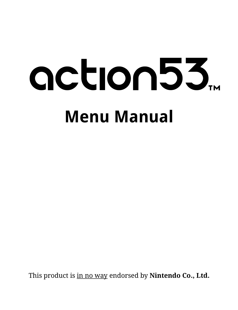## action53 **Menu Manual**

This product is in no way endorsed by **Nintendo Co., Ltd.**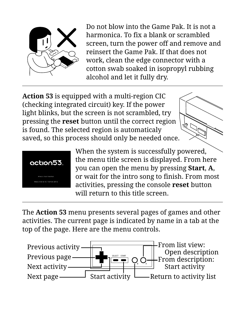

Do not blow into the Game Pak. It is not a harmonica. To fix a blank or scrambled screen, turn the power off and remove and reinsert the Game Pak. If that does not work, clean the edge connector with a cotton swab soaked in isopropyl rubbing alcohol and let it fully dry.

**Action 53** is equipped with a multi-region CIC (checking integrated circuit) key. If the power light blinks, but the screen is not scrambled, try pressing the **reset** button until the correct region is found. The selected region is automaticaly saved, so this process should only be needed once.



When the system is successfully powered, the menu title screen is displayed. From here you can open the menu by pressing **Start**, **A**, or wait for the intro song to finish. From most activities, pressing the console **reset** button will return to this title screen.

The **Action 53** menu presents several pages of games and other activities. The current page is indicated by name in a tab at the top of the page. Here are the menu controls.

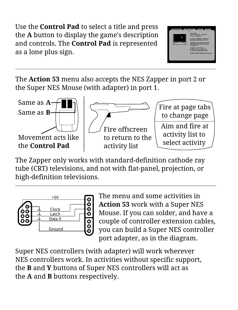Use the **Control Pad** to select a title and press the **A** button to display the game's description and controls. The **Control Pad** is represented as a lone plus sign.



The **Action 53** menu also accepts the NES Zapper in port 2 or the Super NES Mouse (with adapter) in port 1.



The Zapper only works with standard-definition cathode ray tube (CRT) televisions, and not with flat-panel, projection, or high-definition televisions.



The menu and some activities in **Action 53** work with a Super NES Mouse. If you can solder, and have a couple of controller extension cables, you can build a Super NES controller port adapter, as in the diagram.

Super NES controllers (with adapter) will work wherever NES controllers work. In activities without specific support, the **B** and **Y** buttons of Super NES controllers will act as the **A** and **B** buttons respectively.